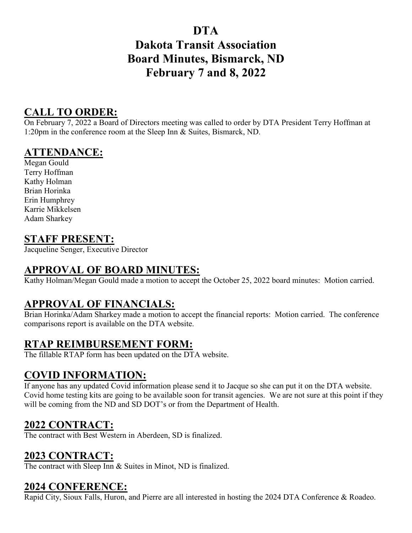# **DTA**

# **Dakota Transit Association Board Minutes, Bismarck, ND February 7 and 8, 2022**

### **CALL TO ORDER:**

On February 7, 2022 a Board of Directors meeting was called to order by DTA President Terry Hoffman at 1:20pm in the conference room at the Sleep Inn & Suites, Bismarck, ND.

#### **ATTENDANCE:**

Megan Gould Terry Hoffman Kathy Holman Brian Horinka Erin Humphrey Karrie Mikkelsen Adam Sharkey

#### **STAFF PRESENT:**

Jacqueline Senger, Executive Director

### **APPROVAL OF BOARD MINUTES:**

Kathy Holman/Megan Gould made a motion to accept the October 25, 2022 board minutes: Motion carried.

### **APPROVAL OF FINANCIALS:**

Brian Horinka/Adam Sharkey made a motion to accept the financial reports: Motion carried. The conference comparisons report is available on the DTA website.

#### **RTAP REIMBURSEMENT FORM:**

The fillable RTAP form has been updated on the DTA website.

### **COVID INFORMATION:**

If anyone has any updated Covid information please send it to Jacque so she can put it on the DTA website. Covid home testing kits are going to be available soon for transit agencies. We are not sure at this point if they will be coming from the ND and SD DOT's or from the Department of Health.

### **2022 CONTRACT:**

The contract with Best Western in Aberdeen, SD is finalized.

### **2023 CONTRACT:**

The contract with Sleep Inn & Suites in Minot, ND is finalized.

#### **2024 CONFERENCE:**

Rapid City, Sioux Falls, Huron, and Pierre are all interested in hosting the 2024 DTA Conference & Roadeo.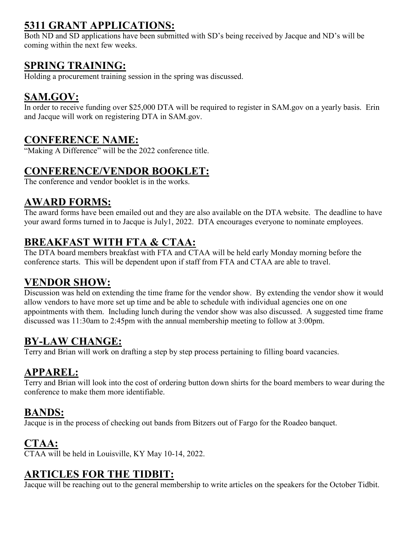# **5311 GRANT APPLICATIONS:**

Both ND and SD applications have been submitted with SD's being received by Jacque and ND's will be coming within the next few weeks.

### **SPRING TRAINING:**

Holding a procurement training session in the spring was discussed.

# **SAM.GOV:**

In order to receive funding over \$25,000 DTA will be required to register in SAM.gov on a yearly basis. Erin and Jacque will work on registering DTA in SAM.gov.

## **CONFERENCE NAME:**

"Making A Difference" will be the 2022 conference title.

### **CONFERENCE/VENDOR BOOKLET:**

The conference and vendor booklet is in the works.

## **AWARD FORMS:**

The award forms have been emailed out and they are also available on the DTA website. The deadline to have your award forms turned in to Jacque is July1, 2022. DTA encourages everyone to nominate employees.

# **BREAKFAST WITH FTA & CTAA:**

The DTA board members breakfast with FTA and CTAA will be held early Monday morning before the conference starts. This will be dependent upon if staff from FTA and CTAA are able to travel.

## **VENDOR SHOW:**

Discussion was held on extending the time frame for the vendor show. By extending the vendor show it would allow vendors to have more set up time and be able to schedule with individual agencies one on one appointments with them. Including lunch during the vendor show was also discussed. A suggested time frame discussed was 11:30am to 2:45pm with the annual membership meeting to follow at 3:00pm.

## **BY-LAW CHANGE:**

Terry and Brian will work on drafting a step by step process pertaining to filling board vacancies.

### **APPAREL:**

Terry and Brian will look into the cost of ordering button down shirts for the board members to wear during the conference to make them more identifiable.

## **BANDS:**

Jacque is in the process of checking out bands from Bitzers out of Fargo for the Roadeo banquet.

## **CTAA:**

CTAA will be held in Louisville, KY May 10-14, 2022.

## **ARTICLES FOR THE TIDBIT:**

Jacque will be reaching out to the general membership to write articles on the speakers for the October Tidbit.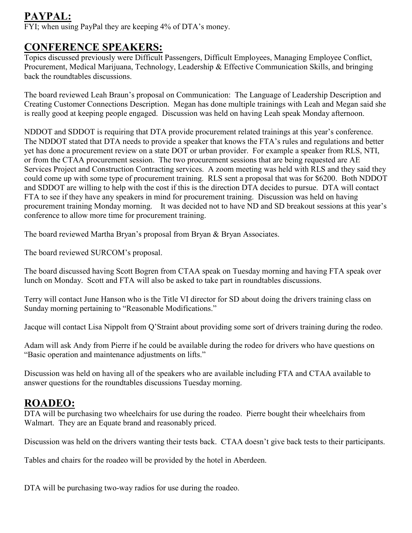# **PAYPAL:**

when using PayPal they are keeping 4% of DTA's money.

#### **CONFERENCE SPEAKERS:**

Topics discussed previously were Difficult Passengers, Difficult Employees, Managing Employee Conflict, Procurement, Medical Marijuana, Technology, Leadership & Effective Communication Skills, and bringing back the roundtables discussions.

The board reviewed Leah Braun's proposal on Communication: The Language of Leadership Description and Creating Customer Connections Description. Megan has done multiple trainings with Leah and Megan said she is really good at keeping people engaged. Discussion was held on having Leah speak Monday afternoon.

NDDOT and SDDOT is requiring that DTA provide procurement related trainings at this year's conference. The NDDOT stated that DTA needs to provide a speaker that knows the FTA's rules and regulations and better yet has done a procurement review on a state DOT or urban provider. For example a speaker from RLS, NTI, or from the CTAA procurement session. The two procurement sessions that are being requested are AE Services Project and Construction Contracting services. A zoom meeting was held with RLS and they said they could come up with some type of procurement training. RLS sent a proposal that was for \$6200. Both NDDOT and SDDOT are willing to help with the cost if this is the direction DTA decides to pursue. DTA will contact FTA to see if they have any speakers in mind for procurement training. Discussion was held on having procurement training Monday morning. It was decided not to have ND and SD breakout sessions at this year's conference to allow more time for procurement training.

The board reviewed Martha Bryan's proposal from Bryan & Bryan Associates.

The board reviewed SURCOM's proposal.

The board discussed having Scott Bogren from CTAA speak on Tuesday morning and having FTA speak over lunch on Monday. Scott and FTA will also be asked to take part in roundtables discussions.

Terry will contact June Hanson who is the Title VI director for SD about doing the drivers training class on Sunday morning pertaining to "Reasonable Modifications."

Jacque will contact Lisa Nippolt from Q'Straint about providing some sort of drivers training during the rodeo.

Adam will ask Andy from Pierre if he could be available during the rodeo for drivers who have questions on "Basic operation and maintenance adjustments on lifts."

Discussion was held on having all of the speakers who are available including FTA and CTAA available to answer questions for the roundtables discussions Tuesday morning.

### **ROADEO:**

DTA will be purchasing two wheelchairs for use during the roadeo. Pierre bought their wheelchairs from Walmart. They are an Equate brand and reasonably priced.

Discussion was held on the drivers wanting their tests back. CTAA doesn't give back tests to their participants.

Tables and chairs for the roadeo will be provided by the hotel in Aberdeen.

DTA will be purchasing two-way radios for use during the roadeo.